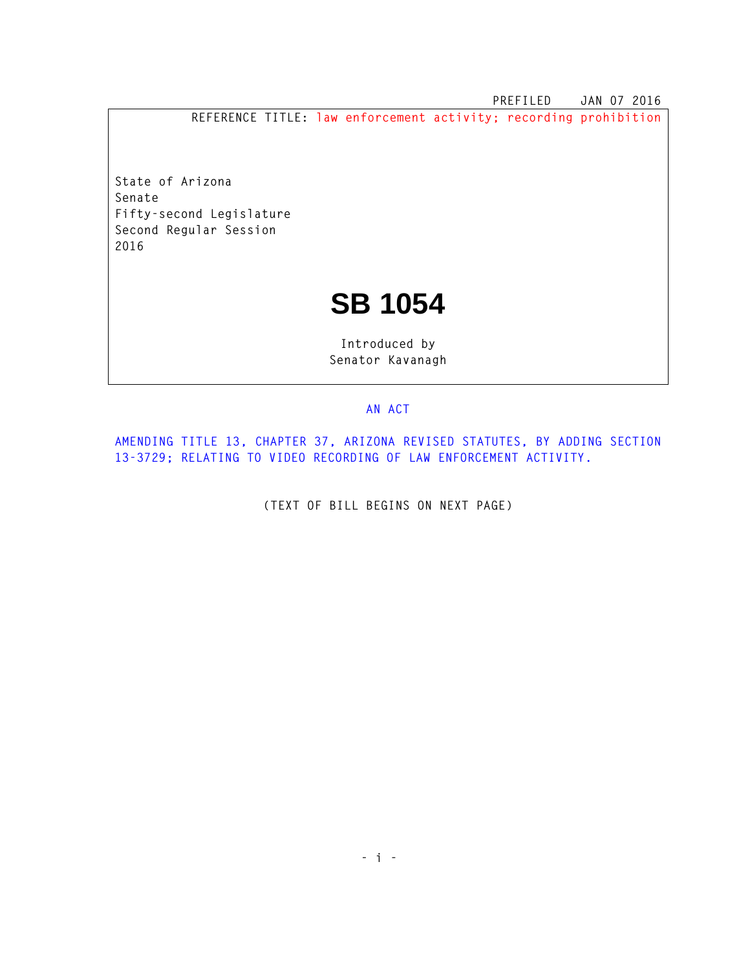**PREFILED JAN 07 2016 REFERENCE TITLE: law enforcement activity; recording prohibition**

**State of Arizona Senate Fifty-second Legislature Second Regular Session** 

**2016** 

## **SB 1054**

**Introduced by Senator Kavanagh** 

## **AN ACT**

**AMENDING TITLE 13, CHAPTER 37, ARIZONA REVISED STATUTES, BY ADDING SECTION 13-3729; RELATING TO VIDEO RECORDING OF LAW ENFORCEMENT ACTIVITY.** 

**(TEXT OF BILL BEGINS ON NEXT PAGE)**